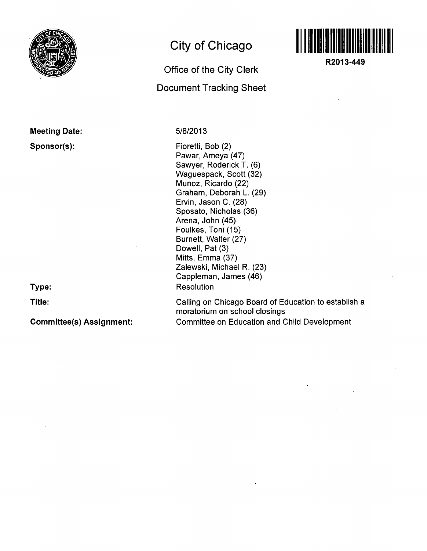

## Meeting Date:

## Sponsor(s):

**Type:** 

**Title:** 

Committee(s) Assignment:

## **City of Chicago**

## Office of the City Clerk Document Tracking Sheet



Fioretti, Bob (2) Pawar, Ameya (47) Sawyer, Roderick T. (6) Waguespack, Scott (32) Munoz, Ricardo (22) Graham, Deborah L. (29) Ervin, Jason C. (28) Sposato, Nicholas (36) Arena, John (45) Foulkes, Toni (15) Burnett, Walter (27) Dowell, Pat (3) Mitts, Emma (37) Zaiewski, Michael R. (23) Cappleman, James (46) Resolution

Calling on Chicago Board of Education to establish a moratorium on school closings Committee on Education and Child Development



**R2013-449**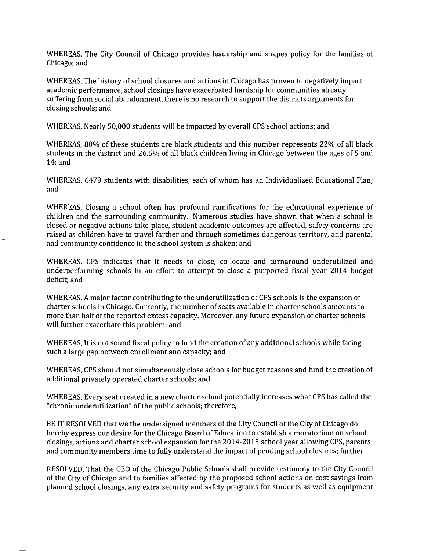WHEREAS, The City Council of Chicago provides leadership and shapes policy for the families of Chicago; and

WHEREAS, The history of school closures and actions in Chicago has proven to negatively impact academic performance, school closings have exacerbated hardship for communities already suffering from social abandonment, there is no research to support the districts arguments for closing schools; and

WHEREAS, Nearly 50,000 students will be impacted by overall CPS school actions; and

WHEREAS, 80% of these students are black students and this number represents 22% of all black students in the district and 26.5% of all black children living in Chicago between the ages of 5 and 14; and

WHEREAS, 6479 students with disabilities, each of whom has an Individualized Educational Plan; and

WHEREAS, Closing a school often has profound ramifications for the educational experience of children and the surrounding community. Numerous studies have shown that when a school is closed or negative actions take place, student academic outcomes are affected, safety concerns are raised as children have to travel farther and through sometimes dangerous territory, and parental and community confidence in the school system is shaken; and

WHEREAS, CPS indicates that it needs to close, co-locate and turnaround underutilized and underperforming schools in an effort to attempt to close a purported fiscal year 2014 budget deficit; and

WHEREAS, A major factor contributing to the underutilization of CPS schools is the expansion of charter schools in Chicago. Currently, the number of seats available in charter schools amounts to more than half of the reported excess capacity. Moreover, any future expansion of charter schools will further exacerbate this problem; and

WHEREAS, It is not sound fiscal policy to fund the creation of any additional schools while facing such a large gap between enrollment and capacity; and

WHEREAS, CPS should not simultaneously close schools for budget reasons and fund the creation of additional privately operated charter schools; and

WHEREAS, Every seat created in a new charter school potentially increases what CPS has called the "chronic underutilization" of the public schools; therefore,

BE IT RESOLVED that we the undersigned members of the City Council of the City of Chicago do hereby express our desire for the Chicago Board of Education to establish a moratorium on school closings, actions and charter school expansion for the 2014-2015 school year allowing CPS, parents and community members time to fully understand the impact of pending school closures; further

RESOLVED, That the CEO of the Chicago Public Schools shall provide testimony to the City Council of the City of Chicago and to families affected by the proposed school actions on cost savings from planned school closings, any extra security and safety programs for students as well as equipment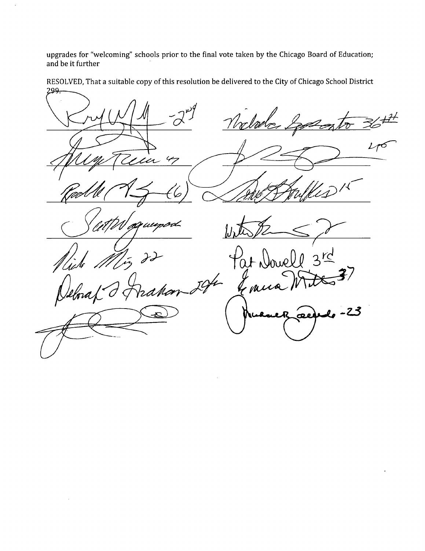upgrades for "welcoming" schools prior to the final vote taken by the Chicago Board of Education; and be it further

Noclade ے rwysd  $23$ ro e

RESOLVED, That a suitable copy of this resolution be delivered to the City of Chicago School District 299